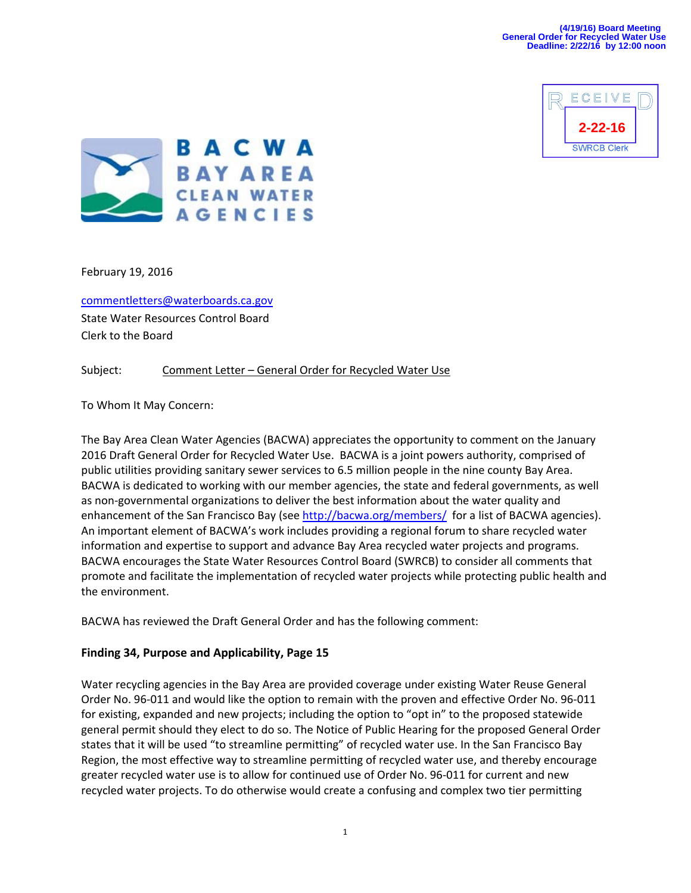



February 19, 2016

commentletters@waterboards.ca.gov

State Water Resources Control Board Clerk to the Board

## Subject: Comment Letter – General Order for Recycled Water Use

To Whom It May Concern:

The Bay Area Clean Water Agencies (BACWA) appreciates the opportunity to comment on the January 2016 Draft General Order for Recycled Water Use. BACWA is a joint powers authority, comprised of public utilities providing sanitary sewer services to 6.5 million people in the nine county Bay Area. BACWA is dedicated to working with our member agencies, the state and federal governments, as well as non‐governmental organizations to deliver the best information about the water quality and enhancement of the San Francisco Bay (see http://bacwa.org/members/ for a list of BACWA agencies). An important element of BACWA's work includes providing a regional forum to share recycled water information and expertise to support and advance Bay Area recycled water projects and programs. BACWA encourages the State Water Resources Control Board (SWRCB) to consider all comments that promote and facilitate the implementation of recycled water projects while protecting public health and the environment.

BACWA has reviewed the Draft General Order and has the following comment:

## **Finding 34, Purpose and Applicability, Page 15**

Water recycling agencies in the Bay Area are provided coverage under existing Water Reuse General Order No. 96‐011 and would like the option to remain with the proven and effective Order No. 96‐011 for existing, expanded and new projects; including the option to "opt in" to the proposed statewide general permit should they elect to do so. The Notice of Public Hearing for the proposed General Order states that it will be used "to streamline permitting" of recycled water use. In the San Francisco Bay Region, the most effective way to streamline permitting of recycled water use, and thereby encourage greater recycled water use is to allow for continued use of Order No. 96‐011 for current and new recycled water projects. To do otherwise would create a confusing and complex two tier permitting